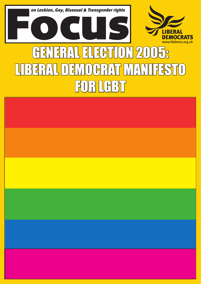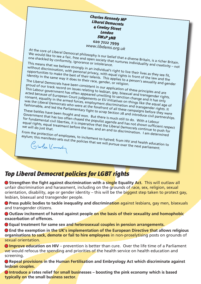*Charles Kennedy MP Liberal Democrats 4 Cowley Street London SW1P 3NB* **020 7222 7999** *www.libdems.org.uk*

At the core of Liberal Democrat philosophy is our belief that a diverse Britain, is a richer Britain.<br>We would like to see a fair, free and open society that nurtures individuality, is a richer Britain.<br>one shackled by con We would like to see a fair, free and open society that a diverse Britain, is a richer Britain.<br>One shackled by conformity, ignorance or intolerance.<br>This means that we believe strongly in su to reation the individuality a

This means that we believe strongly in an individual's right to live their lives as they see fit, without discrimination, with personal privacy, with equal rights in front of the law and the opportunities to make the best of their talents. The qual right to live their lives as they see fit,<br>identity in the same way it does to their talents. This applies to a person's sexuality and the<br>The Liberal Democrats hav

The Liberal Democrats have been consistent in our application of these principles and are

proud of our track record on issues relating to lesbian, gay, bisexual and transgender rights. This Labour government has often appeared unwilling to sanction change and it has only acted because of European Court judgements or EU initiatives on things like the equal age of consent, equality in the armed forces, employment discrimination and transgender rights. It was the Liberal Democrats who were at the forefront of all these campaigns before they were

Fashionable, and led the Parliamentary fight to scrap Section 28 and introduce civil partnerships. These battles have been fought and won. But there is much still to do. With a Labour Government that has too often chased the populist agenda and has not shown sufficient respect<br>for fundamental civil liberties, it is imperative that the Liberal Democrats continue to puch for<br>we will do just that for fundamental civil liberties, it is imperative that the Liberal Democrats continue to push for equal rights, equal treatment before the law, and an end to discrimination. I allow the will do just that.<br>We will do just that.<br>From the protection of employees to the law, and an end to discrimination. I am determined we will do just that.

From the protection of employees, to incitement to hatred; from HIV and health education to asylum; this manifesto sets out the policies that we will pursue over the next parliament.

# *Top Liberal Democrat policies for LGBT rights*

● Strengthen the fight against discrimination with a single Equality Act. This will outlaw all unfair discrimination and harassment, including on the grounds of race, sex, religion, sexual orientation, disability, age or gender identity – this will be the biggest step taken to protect gay, lesbian, bisexual and transgender people.

● **Press public bodies to tackle inequality and discrimination** against lesbians, gay men, bisexuals and transgender citizens.

● Outlaw incitement of hatred against people on the basis of their sexuality and homophobic **exacerbation of offences.** 

● **Equal treatment for same sex and heterosexual couples in pension arrangements.** 

● End the exemption in the UK's implementation of the European Directive that allows religious **organisations to sack, demote or fail to hire employees** in non-proselytising posts on grounds of sexual orientation.

● Improve education on HIV – prevention is better than cure. Over the life time of a Parliament we would refocus the spending and priorities of the health service on health education and screening.

● **Repeal provisions in the Human Fertilisation and Embryology Act which discriminate against lesbian couples.**

**O** Introduce a rates relief for small businesses – boosting the pink economy which is based **typically on the small business sector.**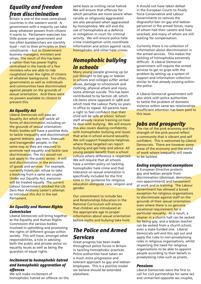## *Equality and freedom from discrimination*

Britain is one of the most centralised countries in the western world. A government with a majority can take away whatever powers from citizens it wants to. Parliament exercises too little power over government and too often backbenchers are slavishly loyal – not to their principles or their constituents – but to Government business managers, ministers and whips. The result of this has been a nation that has power highly centralised in the hands of a few ministers who are able to ride roughshod over the rights of citizens of whatever background. Too often, governments as well as individuals and communities have discriminated against people on the grounds of sexual orientation. And there were no powers available to citizens to prevent this.

### *An Equality Act*

Liberal Democrats will pass an Equality Act which will tackle all forms of discrimination including on the grounds of sexual orientation. Public bodies will have a positive duty to tackle inequality and discrimination against lesbians, gay men, bisexuals and transgender people, in the same way as they are required to promote race equality and tackle race discrimination. The Act would not just apply to the public sector. It will end discrimination in the provision of goods and services. For example, currently hotels can refuse to take a booking from a same sex couple. Under our Equality Act, everyone will be treated equally. The current Labour Government blocked the Lib Dem Peer Anthony Lester's attempt to introduce this Act in the last Parliament.

### *An Equality and Human Rights Commission*

Liberal Democrats will bring together as the Equality and Human Rights Commission the various bodies involved in upholding and promoting the rights of different groups within society. This will have, amongst other responsibilities, a role in advising both the public and private sector on equality issues as well as being the guardian of equal rights.

#### *Incitement to homophobic hatred and homophobic aggravation of offences*

We will make incitement of homophobic hatred an offence on the same basis as inciting racial hatred. We will ensure that offences for which penalties are more severe when racially or religiously aggravated are also penalised when aggravated by homophobia. We will end the use of homophobia as a defence or mitigation in court for criminal activity. We will ensure police hate crime investigation units coordinate information and action against racist, homophobic and other hate crimes.

## *Homophobic bullying in schools*

Many young people growing up (or just thought to be) gay or lesbian in schools and colleges suffer verbal abuse, damage to schoolwork and clothing, physical attack and injury. Some attempt suicide. This has been contributed to by Section 28, which Lib Dems alone opposed in 1988 and which took the Labour Party six years in office to repeal. All parents have a right to feel confident that their child will be safe at school. School staff already receive training on how to deal with bullying. We will ensure this also covers dealing confidently with homophobic bullying and issues that arise in school around sexuality. We will support freephone helplines where those targeted can report bullying and get help and advice. All young people benefit from a school culture where difference is respected. We will require that all schools have a written policy on tackling homophobic hate crime and that tolerance on sexual orientation is specifically included for the first time in the quidance for religious education alongside race, religion and gender.

Our commitment to include Sex and Relationships Education in the National Curriculum will ensure that children are introduced at the appropriate age to proper information about sexual orientation before myths and bullying take hold.

## *The Police and Armed Services*

Great progress has been made throughout police forces in Britain in tackling homophobic practices. Police authorities have taken on a much more progressive and tolerant approach to gay and lesbian employees. This is a positive model we believe should be extended elsewhere.

It should not have taken defeat in the European Courts to finally force Conservative and Labour Governments to remove the disgraceful ban on gay and lesbian personnel in the armed forces, many of whom had their careers and lives wrecked, and many of whom are still waiting for compensation.

Currently there is no collection of information about discrimination in the armed services. This makes the tackling of homophobia extremely difficult. A Liberal Democrat government will require the armed services to get to grips with the problem by setting up a system of support and information collection similar to that already existing within the police.

A Liberal Democrat government will also work with police authorities to tackle the problem of domestic violence within same sex relationships. Insufficient attention has been paid to this issue.

## *Jobs and prosperity*

The rise of the pink economy and the strength of the pink pound reflect a community that is vibrant and self confident. This is welcomed by Liberal Democrats. There are however some areas of the economy and the world of work where inequality still needs to be tackled.

#### *Ending employment exemptions*

A European Directive protects gay and lesbian people from discrimination (dismissal, demotion, non-appointment) and harassment at work and in training. The Labour Government has allowed a broad exception for religious organisations to discriminate against staff on the grounds of their sexual orientation even where there is no genuine vocational requirement for a particular sexuality. As a result, a cleaner in a church hall can be sacked for being gay, and a lesbian teacher can be sacked from a church school, even a state-funded one. Liberal Democrats will end this opt out and apply the rules to non-proselytising roles in religious organisations, whilst respecting the need for religious organisations to be able to appoint people according to their beliefs in proselytising roles such as priests..

#### *Pensions*

Liberal Democrats were the first to call for civil partnerships for same sex and unmarried opposite sex couples,